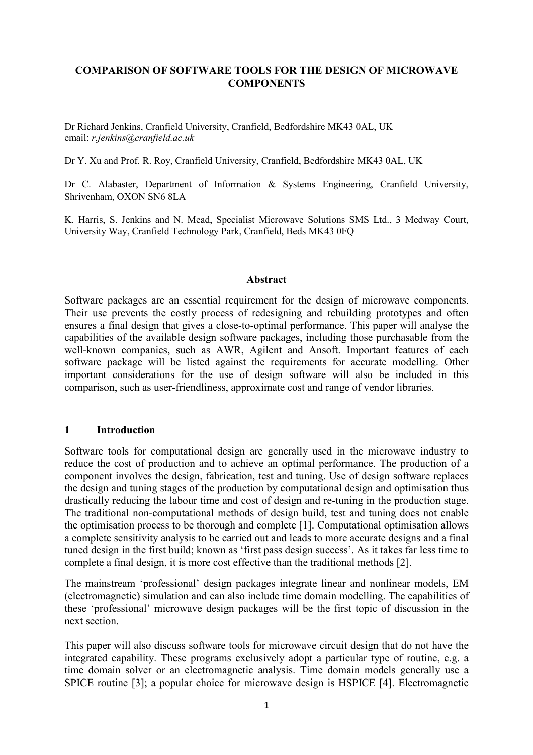### **COMPARISON OF SOFTWARE TOOLS FOR THE DESIGN OF MICROWAVE COMPONENTS**

Dr Richard Jenkins, Cranfield University, Cranfield, Bedfordshire MK43 0AL, UK email: *r.jenkins@cranfield.ac.uk*

Dr Y. Xu and Prof. R. Roy, Cranfield University, Cranfield, Bedfordshire MK43 0AL, UK

Dr C. Alabaster, Department of Information & Systems Engineering, Cranfield University, Shrivenham, OXON SN6 8LA

K. Harris, S. Jenkins and N. Mead, Specialist Microwave Solutions SMS Ltd., 3 Medway Court, University Way, Cranfield Technology Park, Cranfield, Beds MK43 0FQ

#### **Abstract**

Software packages are an essential requirement for the design of microwave components. Their use prevents the costly process of redesigning and rebuilding prototypes and often ensures a final design that gives a close-to-optimal performance. This paper will analyse the capabilities of the available design software packages, including those purchasable from the well-known companies, such as AWR, Agilent and Ansoft. Important features of each software package will be listed against the requirements for accurate modelling. Other important considerations for the use of design software will also be included in this comparison, such as user-friendliness, approximate cost and range of vendor libraries.

### **1 Introduction**

Software tools for computational design are generally used in the microwave industry to reduce the cost of production and to achieve an optimal performance. The production of a component involves the design, fabrication, test and tuning. Use of design software replaces the design and tuning stages of the production by computational design and optimisation thus drastically reducing the labour time and cost of design and re-tuning in the production stage. The traditional non-computational methods of design build, test and tuning does not enable the optimisation process to be thorough and complete [1]. Computational optimisation allows a complete sensitivity analysis to be carried out and leads to more accurate designs and a final tuned design in the first build; known as 'first pass design success'. As it takes far less time to complete a final design, it is more cost effective than the traditional methods [2].

The mainstream 'professional' design packages integrate linear and nonlinear models, EM (electromagnetic) simulation and can also include time domain modelling. The capabilities of these 'professional' microwave design packages will be the first topic of discussion in the next section.

This paper will also discuss software tools for microwave circuit design that do not have the integrated capability. These programs exclusively adopt a particular type of routine, e.g. a time domain solver or an electromagnetic analysis. Time domain models generally use a SPICE routine [3]; a popular choice for microwave design is HSPICE [4]. Electromagnetic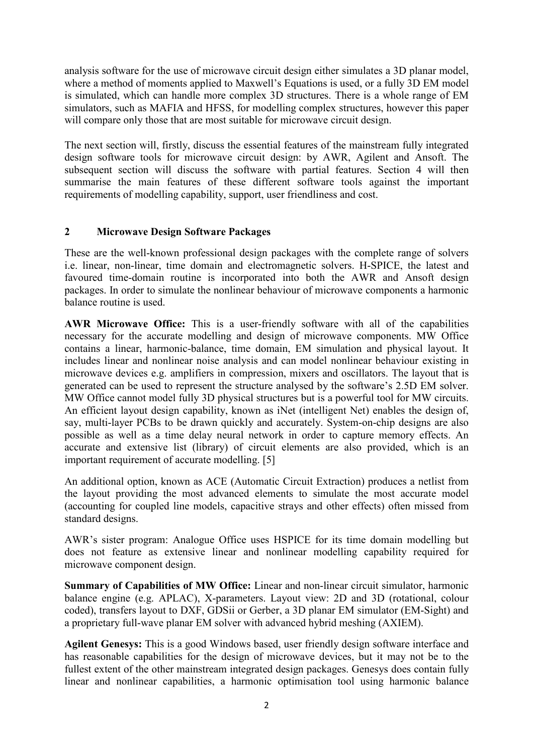analysis software for the use of microwave circuit design either simulates a 3D planar model, where a method of moments applied to Maxwell's Equations is used, or a fully 3D EM model is simulated, which can handle more complex 3D structures. There is a whole range of EM simulators, such as MAFIA and HFSS, for modelling complex structures, however this paper will compare only those that are most suitable for microwave circuit design.

The next section will, firstly, discuss the essential features of the mainstream fully integrated design software tools for microwave circuit design: by AWR, Agilent and Ansoft. The subsequent section will discuss the software with partial features. Section 4 will then summarise the main features of these different software tools against the important requirements of modelling capability, support, user friendliness and cost.

# **2 Microwave Design Software Packages**

These are the well-known professional design packages with the complete range of solvers i.e. linear, non-linear, time domain and electromagnetic solvers. H-SPICE, the latest and favoured time-domain routine is incorporated into both the AWR and Ansoft design packages. In order to simulate the nonlinear behaviour of microwave components a harmonic balance routine is used.

**AWR Microwave Office:** This is a user-friendly software with all of the capabilities necessary for the accurate modelling and design of microwave components. MW Office contains a linear, harmonic-balance, time domain, EM simulation and physical layout. It includes linear and nonlinear noise analysis and can model nonlinear behaviour existing in microwave devices e.g. amplifiers in compression, mixers and oscillators. The layout that is generated can be used to represent the structure analysed by the software's 2.5D EM solver. MW Office cannot model fully 3D physical structures but is a powerful tool for MW circuits. An efficient layout design capability, known as iNet (intelligent Net) enables the design of, say, multi-layer PCBs to be drawn quickly and accurately. System-on-chip designs are also possible as well as a time delay neural network in order to capture memory effects. An accurate and extensive list (library) of circuit elements are also provided, which is an important requirement of accurate modelling. [5]

An additional option, known as ACE (Automatic Circuit Extraction) produces a netlist from the layout providing the most advanced elements to simulate the most accurate model (accounting for coupled line models, capacitive strays and other effects) often missed from standard designs.

AWR's sister program: Analogue Office uses HSPICE for its time domain modelling but does not feature as extensive linear and nonlinear modelling capability required for microwave component design.

**Summary of Capabilities of MW Office:** Linear and non-linear circuit simulator, harmonic balance engine (e.g. APLAC), X-parameters. Layout view: 2D and 3D (rotational, colour coded), transfers layout to DXF, GDSii or Gerber, a 3D planar EM simulator (EM-Sight) and a proprietary full-wave planar EM solver with advanced hybrid meshing (AXIEM).

**Agilent Genesys:** This is a good Windows based, user friendly design software interface and has reasonable capabilities for the design of microwave devices, but it may not be to the fullest extent of the other mainstream integrated design packages. Genesys does contain fully linear and nonlinear capabilities, a harmonic optimisation tool using harmonic balance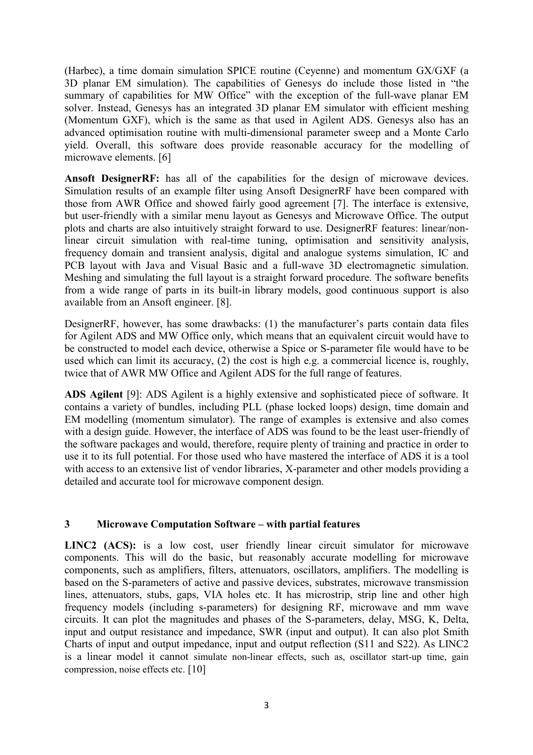(Harbec), a time domain simulation SPICE routine (Ceyenne) and momentum GX/GXF (a 3D planar EM simulation). The capabilities of Genesys do include those listed in "the summary of capabilities for MW Office" with the exception of the full-wave planar EM solver. Instead, Genesys has an integrated 3D planar EM simulator with efficient meshing (Momentum GXF), which is the same as that used in Agilent ADS. Genesys also has an advanced optimisation routine with multi-dimensional parameter sweep and a Monte Carlo yield. Overall, this software does provide reasonable accuracy for the modelling of microwave elements. [6]

**Ansoft DesignerRF:** has all of the capabilities for the design of microwave devices. Simulation results of an example filter using Ansoft DesignerRF have been compared with those from AWR Office and showed fairly good agreement [7]. The interface is extensive, but user-friendly with a similar menu layout as Genesys and Microwave Office. The output plots and charts are also intuitively straight forward to use. DesignerRF features: linear/nonlinear circuit simulation with real-time tuning, optimisation and sensitivity analysis, frequency domain and transient analysis, digital and analogue systems simulation, IC and PCB layout with Java and Visual Basic and a full-wave 3D electromagnetic simulation. Meshing and simulating the full layout is a straight forward procedure. The software benefits from a wide range of parts in its built-in library models, good continuous support is also available from an Ansoft engineer. [8].

DesignerRF, however, has some drawbacks: (1) the manufacturer's parts contain data files for Agilent ADS and MW Office only, which means that an equivalent circuit would have to be constructed to model each device, otherwise a Spice or S-parameter file would have to be used which can limit its accuracy, (2) the cost is high e.g. a commercial licence is, roughly, twice that of AWR MW Office and Agilent ADS for the full range of features.

**ADS Agilent** [9]: ADS Agilent is a highly extensive and sophisticated piece of software. It contains a variety of bundles, including PLL (phase locked loops) design, time domain and EM modelling (momentum simulator). The range of examples is extensive and also comes with a design guide. However, the interface of ADS was found to be the least user-friendly of the software packages and would, therefore, require plenty of training and practice in order to use it to its full potential. For those used who have mastered the interface of ADS it is a tool with access to an extensive list of vendor libraries, X-parameter and other models providing a detailed and accurate tool for microwave component design.

# **3 Microwave Computation Software – with partial features**

LINC2 (ACS): is a low cost, user friendly linear circuit simulator for microwave components. This will do the basic, but reasonably accurate modelling for microwave components, such as amplifiers, filters, attenuators, oscillators, amplifiers. The modelling is based on the S-parameters of active and passive devices, substrates, microwave transmission lines, attenuators, stubs, gaps, VIA holes etc. It has microstrip, strip line and other high frequency models (including s-parameters) for designing RF, microwave and mm wave circuits. It can plot the magnitudes and phases of the S-parameters, delay, MSG, K, Delta, input and output resistance and impedance, SWR (input and output). It can also plot Smith Charts of input and output impedance, input and output reflection (S11 and S22). As LINC2 is a linear model it cannot simulate non-linear effects, such as, oscillator start-up time, gain compression, noise effects etc. [10]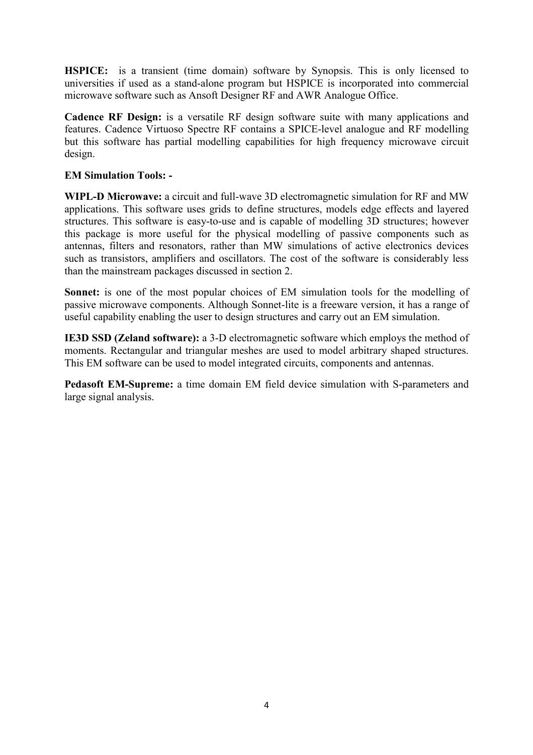**HSPICE:** is a transient (time domain) software by Synopsis. This is only licensed to universities if used as a stand-alone program but HSPICE is incorporated into commercial microwave software such as Ansoft Designer RF and AWR Analogue Office.

**Cadence RF Design:** is a versatile RF design software suite with many applications and features. Cadence Virtuoso Spectre RF contains a SPICE-level analogue and RF modelling but this software has partial modelling capabilities for high frequency microwave circuit design.

# **EM Simulation Tools: -**

**WIPL-D Microwave:** a circuit and full-wave 3D electromagnetic simulation for RF and MW applications. This software uses grids to define structures, models edge effects and layered structures. This software is easy-to-use and is capable of modelling 3D structures; however this package is more useful for the physical modelling of passive components such as antennas, filters and resonators, rather than MW simulations of active electronics devices such as transistors, amplifiers and oscillators. The cost of the software is considerably less than the mainstream packages discussed in section 2.

**Sonnet:** is one of the most popular choices of EM simulation tools for the modelling of passive microwave components. Although Sonnet-lite is a freeware version, it has a range of useful capability enabling the user to design structures and carry out an EM simulation.

**IE3D SSD (Zeland software):** a 3-D electromagnetic software which employs the method of moments. Rectangular and triangular meshes are used to model arbitrary shaped structures. This EM software can be used to model integrated circuits, components and antennas.

**Pedasoft EM-Supreme:** a time domain EM field device simulation with S-parameters and large signal analysis.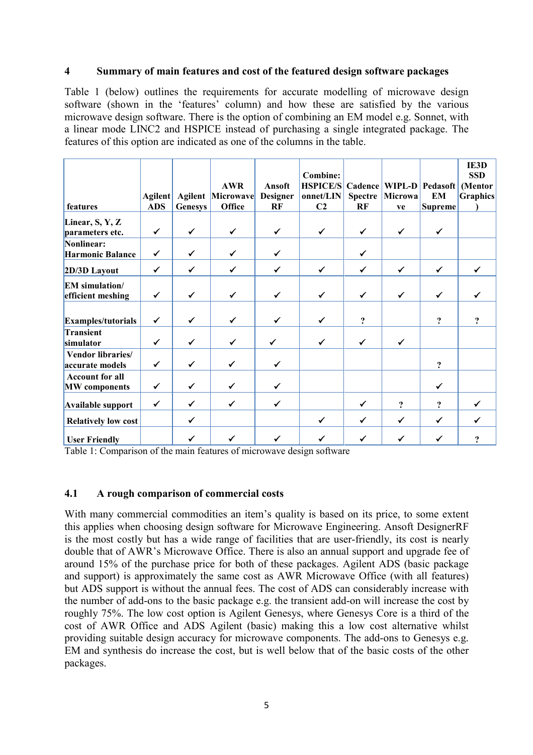### **4 Summary of main features and cost of the featured design software packages**

Table 1 (below) outlines the requirements for accurate modelling of microwave design software (shown in the 'features' column) and how these are satisfied by the various microwave design software. There is the option of combining an EM model e.g. Sonnet, with a linear mode LINC2 and HSPICE instead of purchasing a single integrated package. The features of this option are indicated as one of the columns in the table.

|                                                | Agilent      | <b>Agilent</b> | <b>AWR</b><br>Microwave | Ansoft<br>Designer | <b>Combine:</b><br><b>HSPICE/S</b><br>onnet/LIN | Cadence<br>Spectre         | Microwa             | WIPL-D Pedasoft<br><b>EM</b> | IE3D<br><b>SSD</b><br>(Mentor<br><b>Graphics</b> |
|------------------------------------------------|--------------|----------------|-------------------------|--------------------|-------------------------------------------------|----------------------------|---------------------|------------------------------|--------------------------------------------------|
| features                                       | <b>ADS</b>   | <b>Genesys</b> | Office                  | RF                 | C <sub>2</sub>                                  | RF                         | ve                  | <b>Supreme</b>               |                                                  |
| Linear, S, Y, Z<br>parameters etc.             | $\checkmark$ | $\checkmark$   | $\checkmark$            | $\checkmark$       | $\checkmark$                                    | ✓                          | $\checkmark$        | $\checkmark$                 |                                                  |
| Nonlinear:<br><b>Harmonic Balance</b>          | $\checkmark$ | ✓              | ✓                       | $\checkmark$       |                                                 | ✓                          |                     |                              |                                                  |
| 2D/3D Layout                                   | $\checkmark$ | $\checkmark$   | $\checkmark$            | $\checkmark$       | $\checkmark$                                    | $\checkmark$               | $\checkmark$        | $\checkmark$                 | $\checkmark$                                     |
| <b>EM</b> simulation/<br>efficient meshing     | ✓            | $\checkmark$   | ✓                       | ✔                  | ✓                                               | ✓                          | $\checkmark$        | ✔                            |                                                  |
| Examples/tutorials                             | $\checkmark$ | ✔              | ✓                       | ✔                  | $\checkmark$                                    | $\boldsymbol{\mathcal{P}}$ |                     | $\ddot{ }$                   | 9                                                |
| Transient<br>simulator                         | $\checkmark$ | $\checkmark$   | $\checkmark$            |                    | $\checkmark$                                    | ✓                          | $\checkmark$        |                              |                                                  |
| <b>Vendor libraries/</b><br>accurate models    | $\checkmark$ | $\checkmark$   | ✓                       | ✓                  |                                                 |                            |                     | $\ddot{ }$                   |                                                  |
| <b>Account for all</b><br><b>MW</b> components | $\checkmark$ | ✓              | ✓                       | $\checkmark$       |                                                 |                            |                     | $\checkmark$                 |                                                  |
| Available support                              | $\checkmark$ | $\checkmark$   | ✓                       | ✓                  |                                                 | $\checkmark$               | $\ddot{\mathbf{c}}$ | $\ddot{\mathbf{c}}$          | ✓                                                |
| <b>Relatively low cost</b>                     |              | ✓              |                         |                    | $\checkmark$                                    | ✓                          | ✓                   | ✓                            |                                                  |
| <b>User Friendly</b>                           |              | ✓              |                         |                    | ✓                                               |                            | ✔                   |                              | ?                                                |

Table 1: Comparison of the main features of microwave design software

### **4.1 A rough comparison of commercial costs**

With many commercial commodities an item's quality is based on its price, to some extent this applies when choosing design software for Microwave Engineering. Ansoft DesignerRF is the most costly but has a wide range of facilities that are user-friendly, its cost is nearly double that of AWR's Microwave Office. There is also an annual support and upgrade fee of around 15% of the purchase price for both of these packages. Agilent ADS (basic package and support) is approximately the same cost as AWR Microwave Office (with all features) but ADS support is without the annual fees. The cost of ADS can considerably increase with the number of add-ons to the basic package e.g. the transient add-on will increase the cost by roughly 75%. The low cost option is Agilent Genesys, where Genesys Core is a third of the cost of AWR Office and ADS Agilent (basic) making this a low cost alternative whilst providing suitable design accuracy for microwave components. The add-ons to Genesys e.g. EM and synthesis do increase the cost, but is well below that of the basic costs of the other packages.